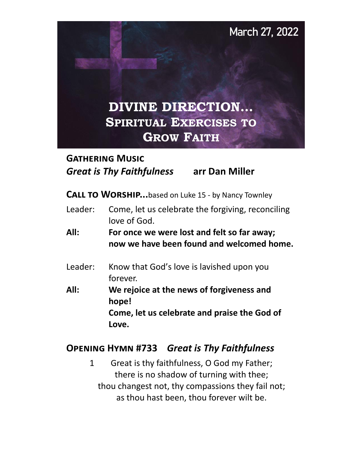

# **Gathering Music**  *Great is Thy Faithfulness* **arr Dan Miller**

**CALL TO WORSHIP...**based on Luke 15 - by Nancy Townley

- Leader: Come, let us celebrate the forgiving, reconciling love of God.
- **All: For once we were lost and felt so far away; now we have been found and welcomed home.**
- Leader: Know that God's love is lavished upon you forever.
- **All: We rejoice at the news of forgiveness and hope! Come, let us celebrate and praise the God of Love.**

### **Opening Hymn #733** *Great is Thy Faithfulness*

1 Great is thy faithfulness, O God my Father; there is no shadow of turning with thee; thou changest not, thy compassions they fail not; as thou hast been, thou forever wilt be.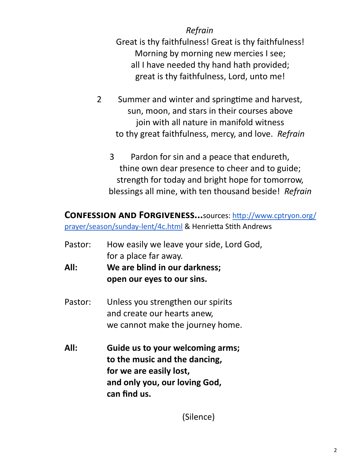#### *Refrain*

Great is thy faithfulness! Great is thy faithfulness! Morning by morning new mercies I see; all I have needed thy hand hath provided; great is thy faithfulness, Lord, unto me!

- 2 Summer and winter and springtime and harvest, sun, moon, and stars in their courses above join with all nature in manifold witness to thy great faithfulness, mercy, and love. *Refrain*
	- 3 Pardon for sin and a peace that endureth, thine own dear presence to cheer and to guide; strength for today and bright hope for tomorrow, blessings all mine, with ten thousand beside! *Refrain*

**Confession and Forgiveness...**sources: [http://www.cptryon.org/](http://www.cptryon.org/prayer/season/sunday-lent/4c.html) [prayer/season/sunday](http://www.cptryon.org/prayer/season/sunday-lent/4c.html)-lent/4c.html & Henrietta Stith Andrews

- Pastor: How easily we leave your side, Lord God, for a place far away.
- **All: We are blind in our darkness; open our eyes to our sins.**
- Pastor: Unless you strengthen our spirits and create our hearts anew, we cannot make the journey home.
- **All: Guide us to your welcoming arms; to the music and the dancing, for we are easily lost, and only you, our loving God, can find us.**

(Silence)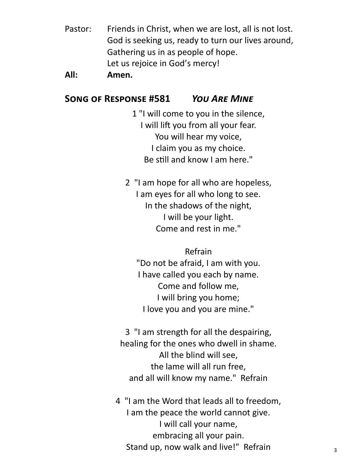Pastor: Friends in Christ, when we are lost, all is not lost. God is seeking us, ready to turn our lives around, Gathering us in as people of hope. Let us rejoice in God's mercy!

#### **All: Amen.**

### **Song of Response #581** *You Are Mine*

1 "I will come to you in the silence, I will lift you from all your fear. You will hear my voice, I claim you as my choice. Be still and know I am here."

2 "I am hope for all who are hopeless, I am eyes for all who long to see. In the shadows of the night, I will be your light. Come and rest in me."

Refrain "Do not be afraid, I am with you. I have called you each by name. Come and follow me, I will bring you home; I love you and you are mine."

3 "I am strength for all the despairing, healing for the ones who dwell in shame. All the blind will see, the lame will all run free, and all will know my name." Refrain

4 "I am the Word that leads all to freedom, I am the peace the world cannot give. I will call your name, embracing all your pain. Stand up, now walk and live!" Refrain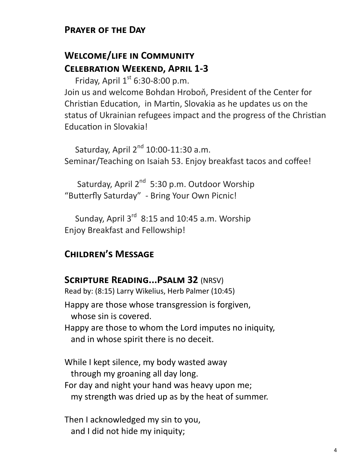### **Prayer of the Day**

# **Welcome/life in Community Celebration Weekend, April 1-3**

Friday, April  $1<sup>st</sup>$  6:30-8:00 p.m. Join us and welcome Bohdan Hroboň, President of the Center for Christian Education, in Martin, Slovakia as he updates us on the status of Ukrainian refugees impact and the progress of the Christian Education in Slovakia!

Saturday, April  $2^{nd}$  10:00-11:30 a.m. Seminar/Teaching on Isaiah 53. Enjoy breakfast tacos and coffee!

Saturday, April 2<sup>nd</sup> 5:30 p.m. Outdoor Worship "Butterfly Saturday" - Bring Your Own Picnic!

Sunday, April 3<sup>rd</sup> 8:15 and 10:45 a.m. Worship Enjoy Breakfast and Fellowship!

# **Children's Message**

#### **Scripture Reading...Psalm 32** (NRSV)

Read by: (8:15) Larry Wikelius, Herb Palmer (10:45) Happy are those whose transgression is forgiven, whose sin is covered. Happy are those to whom the Lord imputes no iniquity, and in whose spirit there is no deceit.

While I kept silence, my body wasted away through my groaning all day long. For day and night your hand was heavy upon me; my strength was dried up as by the heat of summer.

Then I acknowledged my sin to you, and I did not hide my iniquity;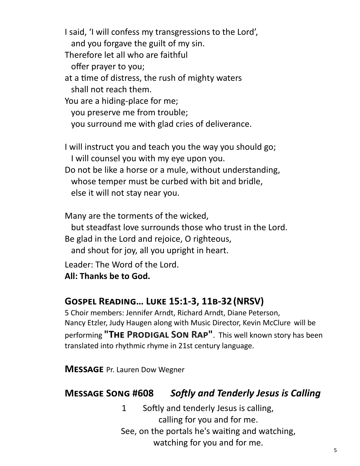I said, 'I will confess my transgressions to the Lord', and you forgave the guilt of my sin. Therefore let all who are faithful offer prayer to you; at a time of distress, the rush of mighty waters shall not reach them. You are a hiding-place for me; you preserve me from trouble; you surround me with glad cries of deliverance.

I will instruct you and teach you the way you should go; I will counsel you with my eye upon you.

Do not be like a horse or a mule, without understanding, whose temper must be curbed with bit and bridle, else it will not stay near you.

Many are the torments of the wicked, but steadfast love surrounds those who trust in the Lord. Be glad in the Lord and rejoice, O righteous, and shout for joy, all you upright in heart. Leader: The Word of the Lord.

**All: Thanks be to God.**

## **Gospel Reading… Luke 15:1-3, 11b-32(NRSV)**

5 Choir members: Jennifer Arndt, Richard Arndt, Diane Peterson, Nancy Etzler, Judy Haugen along with Music Director, Kevin McClure will be performing **"The Prodigal Son Rap"**. This well known story has been translated into rhythmic rhyme in 21st century language.

**Message** Pr. Lauren Dow Wegner

# **Message Song #608** *Softly and Tenderly Jesus is Calling*

1 Softly and tenderly Jesus is calling, calling for you and for me. See, on the portals he's waiting and watching, watching for you and for me.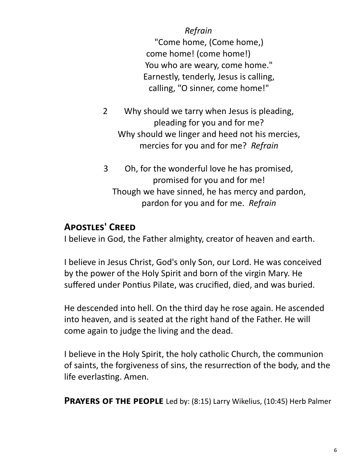*Refrain* "Come home, (Come home,) come home! (come home!) You who are weary, come home." Earnestly, tenderly, Jesus is calling, calling, "O sinner, come home!"

- 2 Why should we tarry when Jesus is pleading, pleading for you and for me? Why should we linger and heed not his mercies, mercies for you and for me? *Refrain*
- 3 Oh, for the wonderful love he has promised, promised for you and for me! Though we have sinned, he has mercy and pardon, pardon for you and for me. *Refrain*

# **Apostles' Creed**

I believe in God, the Father almighty, creator of heaven and earth.

I believe in Jesus Christ, God's only Son, our Lord. He was conceived by the power of the Holy Spirit and born of the virgin Mary. He suffered under Pontius Pilate, was crucified, died, and was buried.

He descended into hell. On the third day he rose again. He ascended into heaven, and is seated at the right hand of the Father. He will come again to judge the living and the dead.

I believe in the Holy Spirit, the holy catholic Church, the communion of saints, the forgiveness of sins, the resurrection of the body, and the life everlasting. Amen.

**PRAYERS OF THE PEOPLE** Led by: (8:15) Larry Wikelius, (10:45) Herb Palmer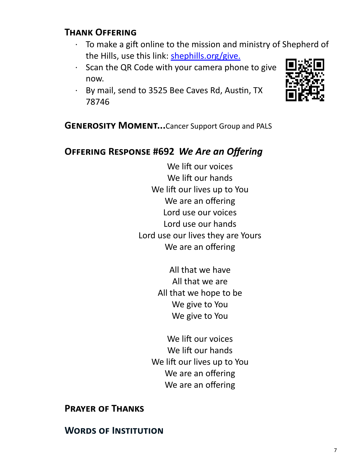# **Thank Offering**

- To make a gift online to the mission and ministry of Shepherd of the Hills, use this link: [shephills.org/give.](https://shephills.org/give/)
- $\cdot$  Scan the QR Code with your camera phone to give now.
- · By mail, send to 3525 Bee Caves Rd, Austin, TX 78746



**GENEROSITY MOMENT...**Cancer Support Group and PALS

# **Offering Response #692** *We Are an Offering*

We lift our voices We lift our hands We lift our lives up to You We are an offering Lord use our voices Lord use our hands Lord use our lives they are Yours We are an offering

> All that we have All that we are All that we hope to be We give to You We give to You

We lift our voices We lift our hands We lift our lives up to You We are an offering We are an offering

## **Prayer of Thanks**

**Words of Institution**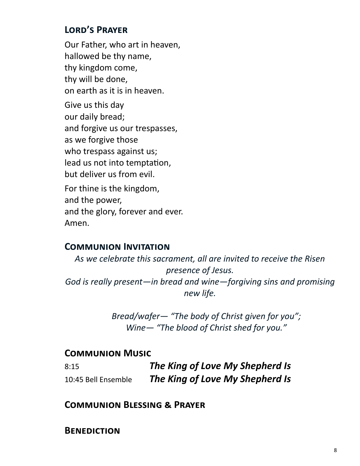# **Lord's Prayer**

Our Father, who art in heaven, hallowed be thy name, thy kingdom come, thy will be done, on earth as it is in heaven. Give us this day our daily bread; and forgive us our trespasses, as we forgive those who trespass against us; lead us not into temptation, but deliver us from evil.

For thine is the kingdom, and the power, and the glory, forever and ever. Amen.

#### **Communion Invitation**

*As we celebrate this sacrament, all are invited to receive the Risen presence of Jesus. God is really present—in bread and wine—forgiving sins and promising new life.* 

> *Bread/wafer— "The body of Christ given for you"; Wine— "The blood of Christ shed for you."*

#### **Communion Music**

8:15 *The King of Love My Shepherd Is*  10:45 Bell Ensemble *The King of Love My Shepherd Is* 

**Communion Blessing & Prayer**

#### **Benediction**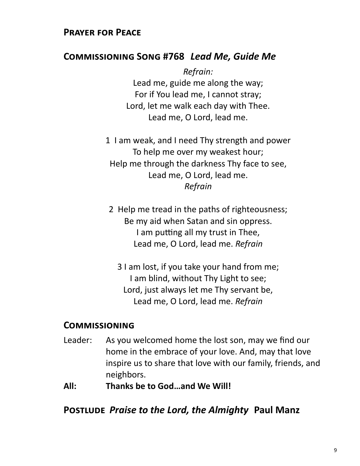### **Prayer for Peace**

### **Commissioning Song #768** *Lead Me, Guide Me*

*Refrain:* Lead me, guide me along the way; For if You lead me, I cannot stray; Lord, let me walk each day with Thee. Lead me, O Lord, lead me.

1 I am weak, and I need Thy strength and power To help me over my weakest hour; Help me through the darkness Thy face to see, Lead me, O Lord, lead me. *Refrain*

2 Help me tread in the paths of righteousness; Be my aid when Satan and sin oppress. I am putting all my trust in Thee, Lead me, O Lord, lead me. *Refrain* 

3 I am lost, if you take your hand from me; I am blind, without Thy Light to see; Lord, just always let me Thy servant be, Lead me, O Lord, lead me. *Refrain*

#### **Commissioning**

- Leader: As you welcomed home the lost son, may we find our home in the embrace of your love. And, may that love inspire us to share that love with our family, friends, and neighbors.
- **All: Thanks be to God…and We Will!**

**Postlude** *Praise to the Lord, the Almighty* **Paul Manz**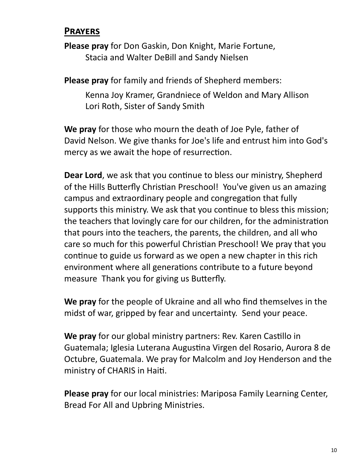### **Prayers**

**Please pray** for Don Gaskin, Don Knight, Marie Fortune, Stacia and Walter DeBill and Sandy Nielsen

**Please pray** for family and friends of Shepherd members:

Kenna Joy Kramer, Grandniece of Weldon and Mary Allison Lori Roth, Sister of Sandy Smith

**We pray** for those who mourn the death of Joe Pyle, father of David Nelson. We give thanks for Joe's life and entrust him into God's mercy as we await the hope of resurrection.

**Dear Lord**, we ask that you continue to bless our ministry, Shepherd of the Hills Butterfly Christian Preschool! You've given us an amazing campus and extraordinary people and congregation that fully supports this ministry. We ask that you continue to bless this mission; the teachers that lovingly care for our children, for the administration that pours into the teachers, the parents, the children, and all who care so much for this powerful Christian Preschool! We pray that you continue to guide us forward as we open a new chapter in this rich environment where all generations contribute to a future beyond measure Thank you for giving us Butterfly.

**We pray** for the people of Ukraine and all who find themselves in the midst of war, gripped by fear and uncertainty. Send your peace.

**We pray** for our global ministry partners: Rev. Karen Castillo in Guatemala; Iglesia Luterana Augustina Virgen del Rosario, Aurora 8 de Octubre, Guatemala. We pray for Malcolm and Joy Henderson and the ministry of CHARIS in Haiti.

**Please pray** for our local ministries: Mariposa Family Learning Center, Bread For All and Upbring Ministries.